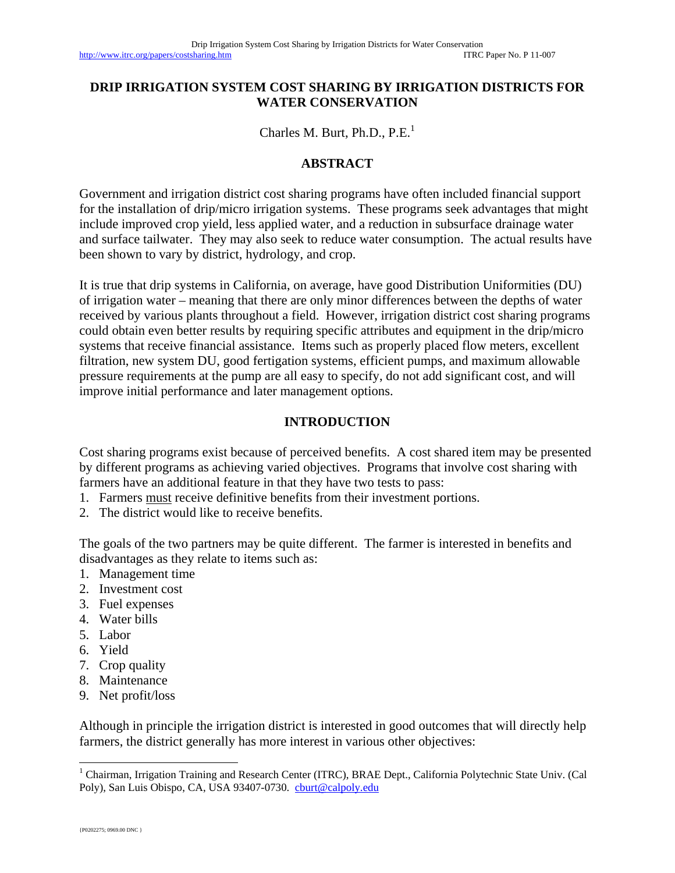#### **DRIP IRRIGATION SYSTEM COST SHARING BY IRRIGATION DISTRICTS FOR WATER CONSERVATION**

Charles M. Burt, Ph.D.,  $P.E.<sup>1</sup>$ 

#### **ABSTRACT**

Government and irrigation district cost sharing programs have often included financial support for the installation of drip/micro irrigation systems. These programs seek advantages that might include improved crop yield, less applied water, and a reduction in subsurface drainage water and surface tailwater. They may also seek to reduce water consumption. The actual results have been shown to vary by district, hydrology, and crop.

It is true that drip systems in California, on average, have good Distribution Uniformities (DU) of irrigation water – meaning that there are only minor differences between the depths of water received by various plants throughout a field. However, irrigation district cost sharing programs could obtain even better results by requiring specific attributes and equipment in the drip/micro systems that receive financial assistance. Items such as properly placed flow meters, excellent filtration, new system DU, good fertigation systems, efficient pumps, and maximum allowable pressure requirements at the pump are all easy to specify, do not add significant cost, and will improve initial performance and later management options.

#### **INTRODUCTION**

Cost sharing programs exist because of perceived benefits. A cost shared item may be presented by different programs as achieving varied objectives. Programs that involve cost sharing with farmers have an additional feature in that they have two tests to pass:

- 1. Farmers must receive definitive benefits from their investment portions.
- 2. The district would like to receive benefits.

The goals of the two partners may be quite different. The farmer is interested in benefits and disadvantages as they relate to items such as:

- 1. Management time
- 2. Investment cost
- 3. Fuel expenses
- 4. Water bills
- 5. Labor
- 6. Yield
- 7. Crop quality
- 8. Maintenance
- 9. Net profit/loss

Although in principle the irrigation district is interested in good outcomes that will directly help farmers, the district generally has more interest in various other objectives:

l

<sup>&</sup>lt;sup>1</sup> Chairman, Irrigation Training and Research Center (ITRC), BRAE Dept., California Polytechnic State Univ. (Cal Poly), San Luis Obispo, CA, USA 93407-0730. cburt@calpoly.edu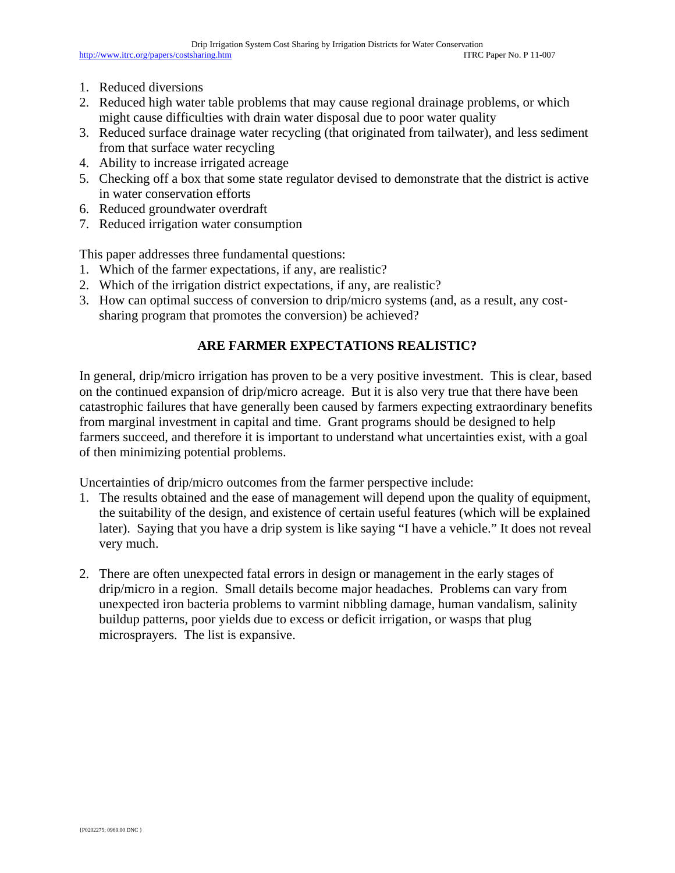- 1. Reduced diversions
- 2. Reduced high water table problems that may cause regional drainage problems, or which might cause difficulties with drain water disposal due to poor water quality
- 3. Reduced surface drainage water recycling (that originated from tailwater), and less sediment from that surface water recycling
- 4. Ability to increase irrigated acreage
- 5. Checking off a box that some state regulator devised to demonstrate that the district is active in water conservation efforts
- 6. Reduced groundwater overdraft
- 7. Reduced irrigation water consumption

This paper addresses three fundamental questions:

- 1. Which of the farmer expectations, if any, are realistic?
- 2. Which of the irrigation district expectations, if any, are realistic?
- 3. How can optimal success of conversion to drip/micro systems (and, as a result, any costsharing program that promotes the conversion) be achieved?

# **ARE FARMER EXPECTATIONS REALISTIC?**

In general, drip/micro irrigation has proven to be a very positive investment. This is clear, based on the continued expansion of drip/micro acreage. But it is also very true that there have been catastrophic failures that have generally been caused by farmers expecting extraordinary benefits from marginal investment in capital and time. Grant programs should be designed to help farmers succeed, and therefore it is important to understand what uncertainties exist, with a goal of then minimizing potential problems.

Uncertainties of drip/micro outcomes from the farmer perspective include:

- 1. The results obtained and the ease of management will depend upon the quality of equipment, the suitability of the design, and existence of certain useful features (which will be explained later). Saying that you have a drip system is like saying "I have a vehicle." It does not reveal very much.
- 2. There are often unexpected fatal errors in design or management in the early stages of drip/micro in a region. Small details become major headaches. Problems can vary from unexpected iron bacteria problems to varmint nibbling damage, human vandalism, salinity buildup patterns, poor yields due to excess or deficit irrigation, or wasps that plug microsprayers. The list is expansive.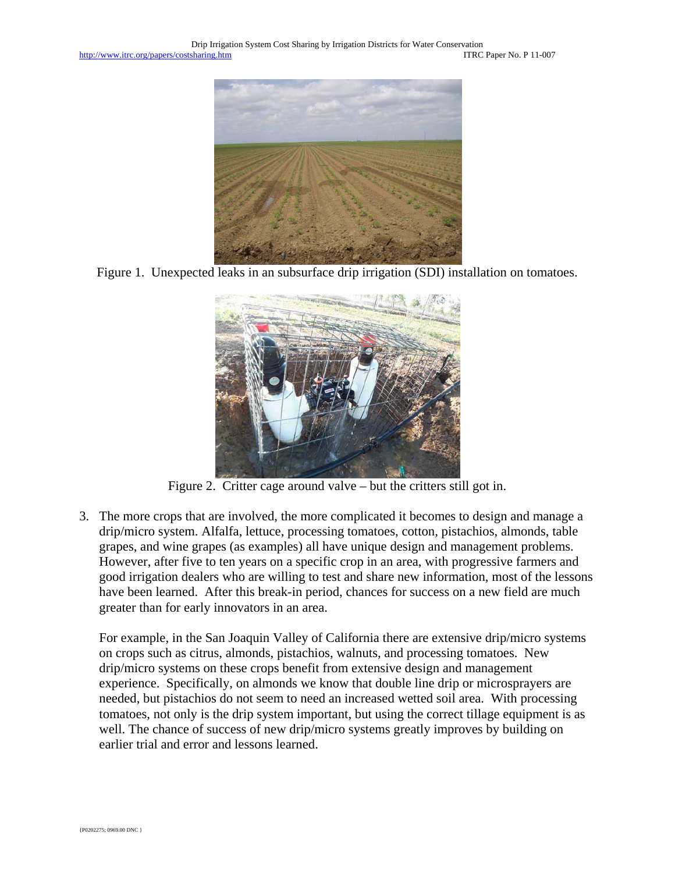

Figure 1. Unexpected leaks in an subsurface drip irrigation (SDI) installation on tomatoes.



Figure 2. Critter cage around valve – but the critters still got in.

3. The more crops that are involved, the more complicated it becomes to design and manage a drip/micro system. Alfalfa, lettuce, processing tomatoes, cotton, pistachios, almonds, table grapes, and wine grapes (as examples) all have unique design and management problems. However, after five to ten years on a specific crop in an area, with progressive farmers and good irrigation dealers who are willing to test and share new information, most of the lessons have been learned. After this break-in period, chances for success on a new field are much greater than for early innovators in an area.

For example, in the San Joaquin Valley of California there are extensive drip/micro systems on crops such as citrus, almonds, pistachios, walnuts, and processing tomatoes. New drip/micro systems on these crops benefit from extensive design and management experience. Specifically, on almonds we know that double line drip or microsprayers are needed, but pistachios do not seem to need an increased wetted soil area. With processing tomatoes, not only is the drip system important, but using the correct tillage equipment is as well. The chance of success of new drip/micro systems greatly improves by building on earlier trial and error and lessons learned.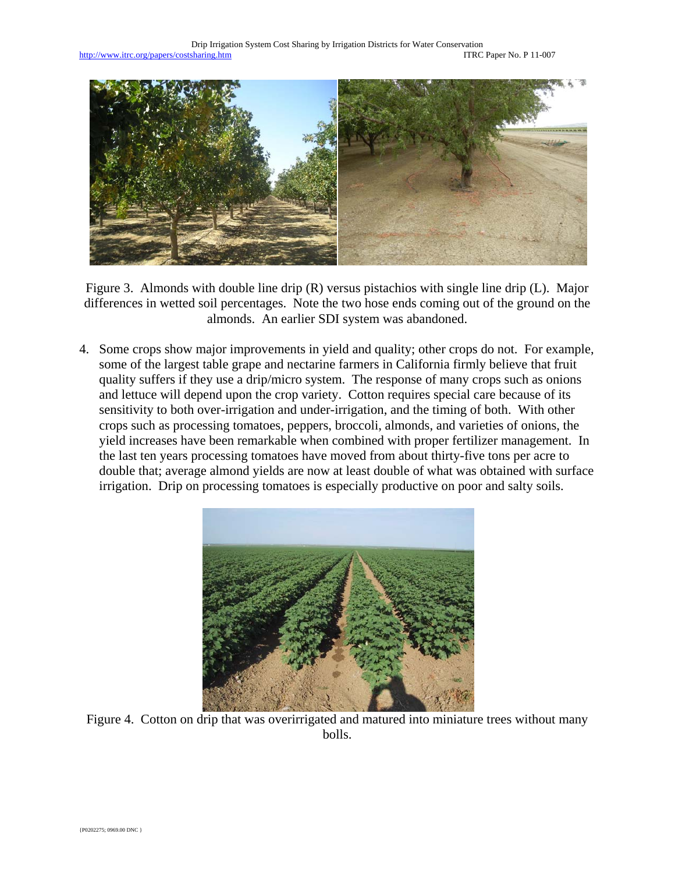

Figure 3. Almonds with double line drip (R) versus pistachios with single line drip (L). Major differences in wetted soil percentages. Note the two hose ends coming out of the ground on the almonds. An earlier SDI system was abandoned.

4. Some crops show major improvements in yield and quality; other crops do not. For example, some of the largest table grape and nectarine farmers in California firmly believe that fruit quality suffers if they use a drip/micro system. The response of many crops such as onions and lettuce will depend upon the crop variety. Cotton requires special care because of its sensitivity to both over-irrigation and under-irrigation, and the timing of both. With other crops such as processing tomatoes, peppers, broccoli, almonds, and varieties of onions, the yield increases have been remarkable when combined with proper fertilizer management. In the last ten years processing tomatoes have moved from about thirty-five tons per acre to double that; average almond yields are now at least double of what was obtained with surface irrigation. Drip on processing tomatoes is especially productive on poor and salty soils.



Figure 4. Cotton on drip that was overirrigated and matured into miniature trees without many bolls.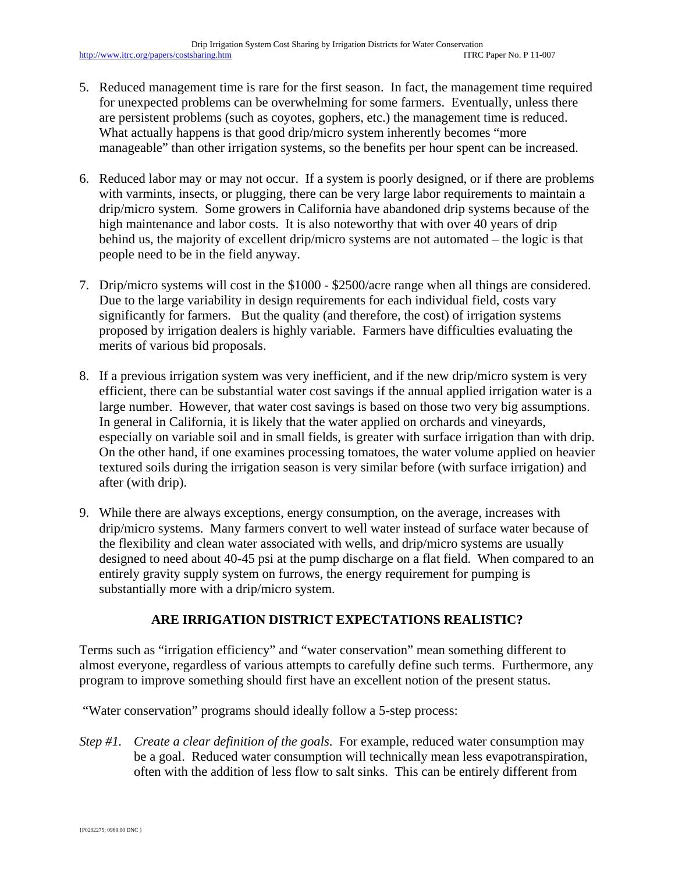- 5. Reduced management time is rare for the first season. In fact, the management time required for unexpected problems can be overwhelming for some farmers. Eventually, unless there are persistent problems (such as coyotes, gophers, etc.) the management time is reduced. What actually happens is that good drip/micro system inherently becomes "more manageable" than other irrigation systems, so the benefits per hour spent can be increased.
- 6. Reduced labor may or may not occur. If a system is poorly designed, or if there are problems with varmints, insects, or plugging, there can be very large labor requirements to maintain a drip/micro system. Some growers in California have abandoned drip systems because of the high maintenance and labor costs. It is also noteworthy that with over 40 years of drip behind us, the majority of excellent drip/micro systems are not automated – the logic is that people need to be in the field anyway.
- 7. Drip/micro systems will cost in the \$1000 \$2500/acre range when all things are considered. Due to the large variability in design requirements for each individual field, costs vary significantly for farmers. But the quality (and therefore, the cost) of irrigation systems proposed by irrigation dealers is highly variable. Farmers have difficulties evaluating the merits of various bid proposals.
- 8. If a previous irrigation system was very inefficient, and if the new drip/micro system is very efficient, there can be substantial water cost savings if the annual applied irrigation water is a large number. However, that water cost savings is based on those two very big assumptions. In general in California, it is likely that the water applied on orchards and vineyards, especially on variable soil and in small fields, is greater with surface irrigation than with drip. On the other hand, if one examines processing tomatoes, the water volume applied on heavier textured soils during the irrigation season is very similar before (with surface irrigation) and after (with drip).
- 9. While there are always exceptions, energy consumption, on the average, increases with drip/micro systems. Many farmers convert to well water instead of surface water because of the flexibility and clean water associated with wells, and drip/micro systems are usually designed to need about 40-45 psi at the pump discharge on a flat field. When compared to an entirely gravity supply system on furrows, the energy requirement for pumping is substantially more with a drip/micro system.

# **ARE IRRIGATION DISTRICT EXPECTATIONS REALISTIC?**

Terms such as "irrigation efficiency" and "water conservation" mean something different to almost everyone, regardless of various attempts to carefully define such terms. Furthermore, any program to improve something should first have an excellent notion of the present status.

"Water conservation" programs should ideally follow a 5-step process:

*Step #1. Create a clear definition of the goals*. For example, reduced water consumption may be a goal. Reduced water consumption will technically mean less evapotranspiration, often with the addition of less flow to salt sinks. This can be entirely different from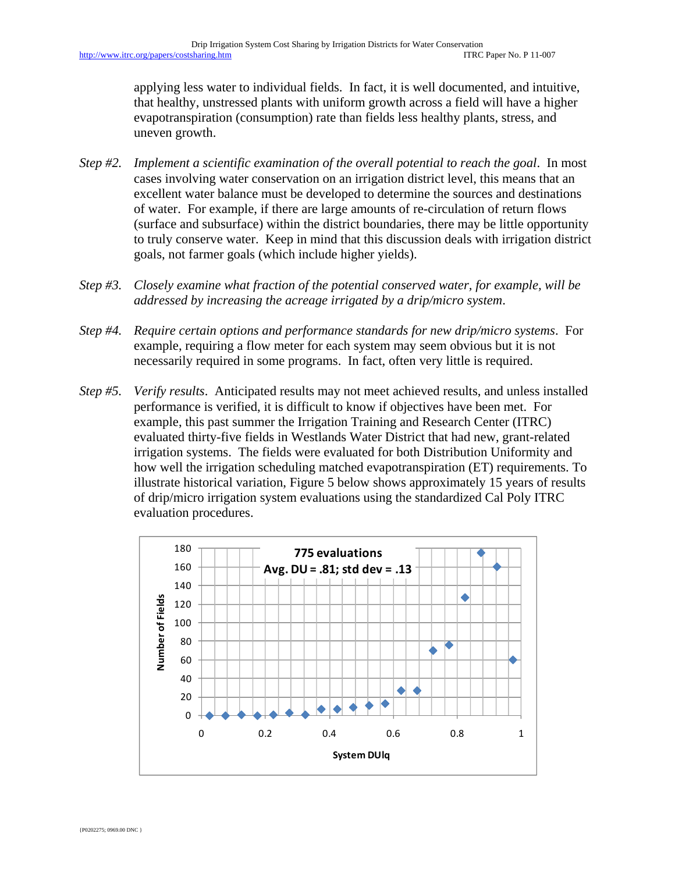applying less water to individual fields. In fact, it is well documented, and intuitive, that healthy, unstressed plants with uniform growth across a field will have a higher evapotranspiration (consumption) rate than fields less healthy plants, stress, and uneven growth.

- *Step #2. Implement a scientific examination of the overall potential to reach the goal*. In most cases involving water conservation on an irrigation district level, this means that an excellent water balance must be developed to determine the sources and destinations of water. For example, if there are large amounts of re-circulation of return flows (surface and subsurface) within the district boundaries, there may be little opportunity to truly conserve water. Keep in mind that this discussion deals with irrigation district goals, not farmer goals (which include higher yields).
- *Step #3. Closely examine what fraction of the potential conserved water, for example, will be addressed by increasing the acreage irrigated by a drip/micro system*.
- *Step #4. Require certain options and performance standards for new drip/micro systems*. For example, requiring a flow meter for each system may seem obvious but it is not necessarily required in some programs. In fact, often very little is required.
- *Step #5. Verify results*. Anticipated results may not meet achieved results, and unless installed performance is verified, it is difficult to know if objectives have been met. For example, this past summer the Irrigation Training and Research Center (ITRC) evaluated thirty-five fields in Westlands Water District that had new, grant-related irrigation systems. The fields were evaluated for both Distribution Uniformity and how well the irrigation scheduling matched evapotranspiration (ET) requirements. To illustrate historical variation, Figure 5 below shows approximately 15 years of results of drip/micro irrigation system evaluations using the standardized Cal Poly ITRC evaluation procedures.

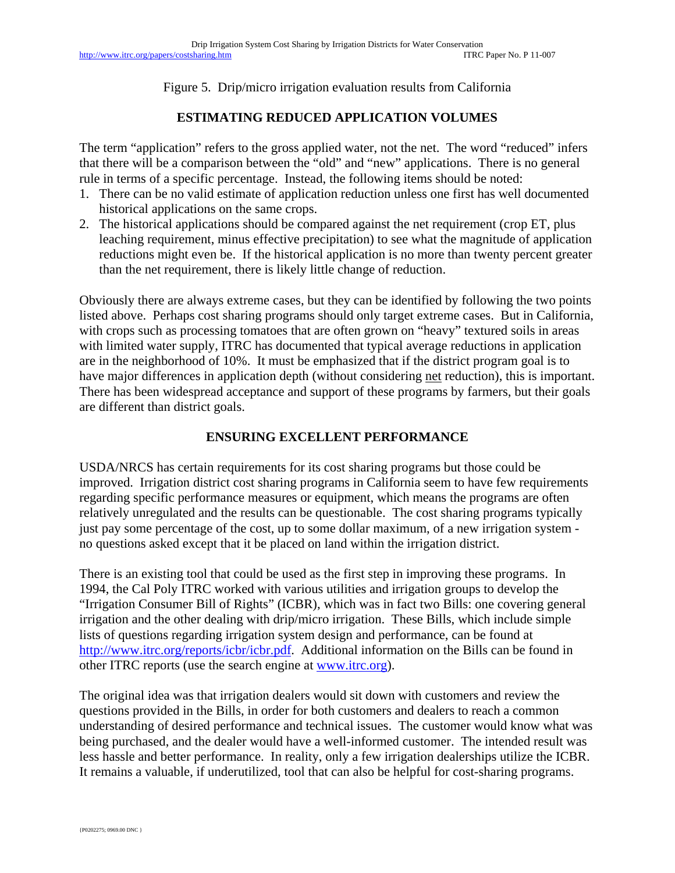Figure 5. Drip/micro irrigation evaluation results from California

# **ESTIMATING REDUCED APPLICATION VOLUMES**

The term "application" refers to the gross applied water, not the net. The word "reduced" infers that there will be a comparison between the "old" and "new" applications. There is no general rule in terms of a specific percentage. Instead, the following items should be noted:

- 1. There can be no valid estimate of application reduction unless one first has well documented historical applications on the same crops.
- 2. The historical applications should be compared against the net requirement (crop ET, plus leaching requirement, minus effective precipitation) to see what the magnitude of application reductions might even be. If the historical application is no more than twenty percent greater than the net requirement, there is likely little change of reduction.

Obviously there are always extreme cases, but they can be identified by following the two points listed above. Perhaps cost sharing programs should only target extreme cases. But in California, with crops such as processing tomatoes that are often grown on "heavy" textured soils in areas with limited water supply, ITRC has documented that typical average reductions in application are in the neighborhood of 10%. It must be emphasized that if the district program goal is to have major differences in application depth (without considering net reduction), this is important. There has been widespread acceptance and support of these programs by farmers, but their goals are different than district goals.

# **ENSURING EXCELLENT PERFORMANCE**

USDA/NRCS has certain requirements for its cost sharing programs but those could be improved. Irrigation district cost sharing programs in California seem to have few requirements regarding specific performance measures or equipment, which means the programs are often relatively unregulated and the results can be questionable. The cost sharing programs typically just pay some percentage of the cost, up to some dollar maximum, of a new irrigation system no questions asked except that it be placed on land within the irrigation district.

There is an existing tool that could be used as the first step in improving these programs. In 1994, the Cal Poly ITRC worked with various utilities and irrigation groups to develop the "Irrigation Consumer Bill of Rights" (ICBR), which was in fact two Bills: one covering general irrigation and the other dealing with drip/micro irrigation. These Bills, which include simple lists of questions regarding irrigation system design and performance, can be found at http://www.itrc.org/reports/icbr/icbr.pdf. Additional information on the Bills can be found in other ITRC reports (use the search engine at www.itrc.org).

The original idea was that irrigation dealers would sit down with customers and review the questions provided in the Bills, in order for both customers and dealers to reach a common understanding of desired performance and technical issues. The customer would know what was being purchased, and the dealer would have a well-informed customer. The intended result was less hassle and better performance. In reality, only a few irrigation dealerships utilize the ICBR. It remains a valuable, if underutilized, tool that can also be helpful for cost-sharing programs.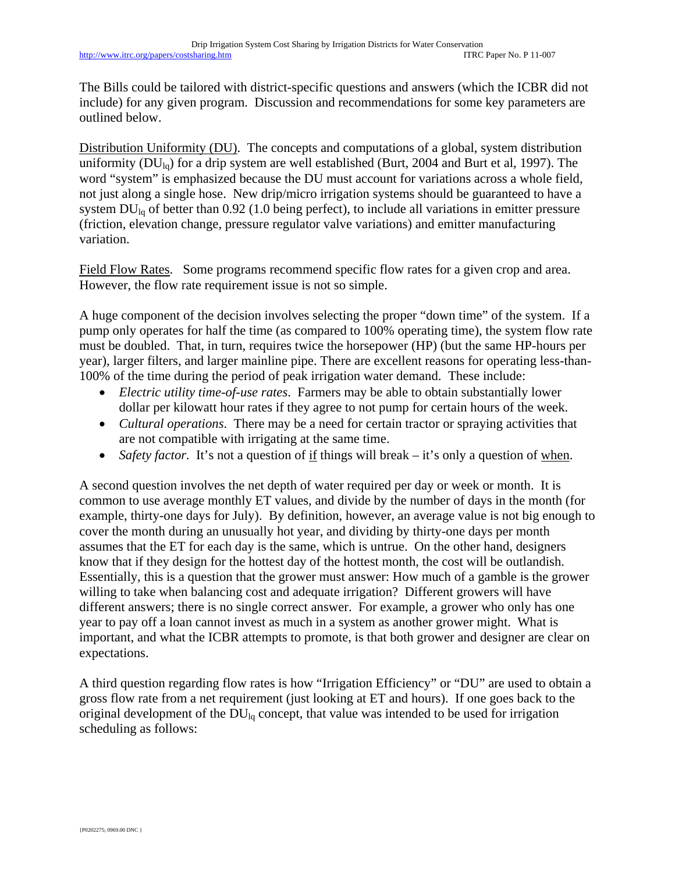The Bills could be tailored with district-specific questions and answers (which the ICBR did not include) for any given program. Discussion and recommendations for some key parameters are outlined below.

Distribution Uniformity (DU). The concepts and computations of a global, system distribution uniformity  $(DU_{1q})$  for a drip system are well established (Burt, 2004 and Burt et al, 1997). The word "system" is emphasized because the DU must account for variations across a whole field, not just along a single hose. New drip/micro irrigation systems should be guaranteed to have a system  $DU_{lq}$  of better than 0.92 (1.0 being perfect), to include all variations in emitter pressure (friction, elevation change, pressure regulator valve variations) and emitter manufacturing variation.

Field Flow Rates. Some programs recommend specific flow rates for a given crop and area. However, the flow rate requirement issue is not so simple.

A huge component of the decision involves selecting the proper "down time" of the system. If a pump only operates for half the time (as compared to 100% operating time), the system flow rate must be doubled. That, in turn, requires twice the horsepower (HP) (but the same HP-hours per year), larger filters, and larger mainline pipe. There are excellent reasons for operating less-than-100% of the time during the period of peak irrigation water demand. These include:

- *Electric utility time-of-use rates*. Farmers may be able to obtain substantially lower dollar per kilowatt hour rates if they agree to not pump for certain hours of the week.
- *Cultural operations*. There may be a need for certain tractor or spraying activities that are not compatible with irrigating at the same time.
- *Safety factor*. It's not a question of if things will break it's only a question of when.

A second question involves the net depth of water required per day or week or month. It is common to use average monthly ET values, and divide by the number of days in the month (for example, thirty-one days for July). By definition, however, an average value is not big enough to cover the month during an unusually hot year, and dividing by thirty-one days per month assumes that the ET for each day is the same, which is untrue. On the other hand, designers know that if they design for the hottest day of the hottest month, the cost will be outlandish. Essentially, this is a question that the grower must answer: How much of a gamble is the grower willing to take when balancing cost and adequate irrigation? Different growers will have different answers; there is no single correct answer. For example, a grower who only has one year to pay off a loan cannot invest as much in a system as another grower might. What is important, and what the ICBR attempts to promote, is that both grower and designer are clear on expectations.

A third question regarding flow rates is how "Irrigation Efficiency" or "DU" are used to obtain a gross flow rate from a net requirement (just looking at ET and hours). If one goes back to the original development of the  $DU_{\text{Iq}}$  concept, that value was intended to be used for irrigation scheduling as follows: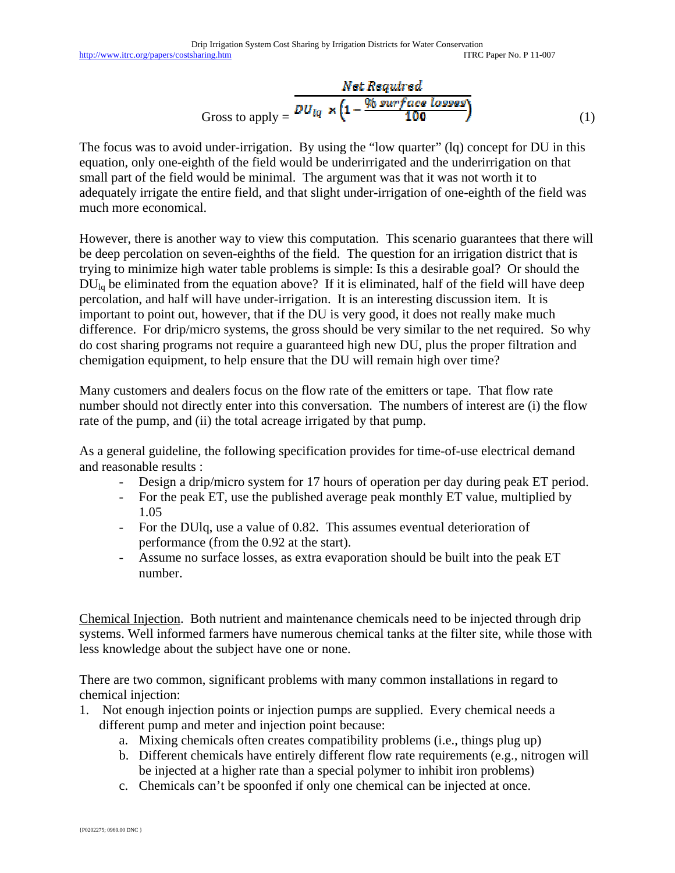$$
Gross to apply = \frac{Net Required}{DU_{lq} \times \left(1 - \frac{\% surface losses}{100}\right)}
$$
(1)

The focus was to avoid under-irrigation. By using the "low quarter" (lq) concept for DU in this equation, only one-eighth of the field would be underirrigated and the underirrigation on that small part of the field would be minimal. The argument was that it was not worth it to adequately irrigate the entire field, and that slight under-irrigation of one-eighth of the field was much more economical.

However, there is another way to view this computation. This scenario guarantees that there will be deep percolation on seven-eighths of the field. The question for an irrigation district that is trying to minimize high water table problems is simple: Is this a desirable goal? Or should the  $DU_{1q}$  be eliminated from the equation above? If it is eliminated, half of the field will have deep percolation, and half will have under-irrigation. It is an interesting discussion item. It is important to point out, however, that if the DU is very good, it does not really make much difference. For drip/micro systems, the gross should be very similar to the net required. So why do cost sharing programs not require a guaranteed high new DU, plus the proper filtration and chemigation equipment, to help ensure that the DU will remain high over time?

Many customers and dealers focus on the flow rate of the emitters or tape. That flow rate number should not directly enter into this conversation. The numbers of interest are (i) the flow rate of the pump, and (ii) the total acreage irrigated by that pump.

As a general guideline, the following specification provides for time-of-use electrical demand and reasonable results :

- Design a drip/micro system for 17 hours of operation per day during peak ET period.
- For the peak ET, use the published average peak monthly ET value, multiplied by 1.05
- For the DUlq, use a value of 0.82. This assumes eventual deterioration of performance (from the 0.92 at the start).
- Assume no surface losses, as extra evaporation should be built into the peak ET number.

Chemical Injection. Both nutrient and maintenance chemicals need to be injected through drip systems. Well informed farmers have numerous chemical tanks at the filter site, while those with less knowledge about the subject have one or none.

There are two common, significant problems with many common installations in regard to chemical injection:

- 1. Not enough injection points or injection pumps are supplied. Every chemical needs a different pump and meter and injection point because:
	- a. Mixing chemicals often creates compatibility problems (i.e., things plug up)
	- b. Different chemicals have entirely different flow rate requirements (e.g., nitrogen will be injected at a higher rate than a special polymer to inhibit iron problems)
	- c. Chemicals can't be spoonfed if only one chemical can be injected at once.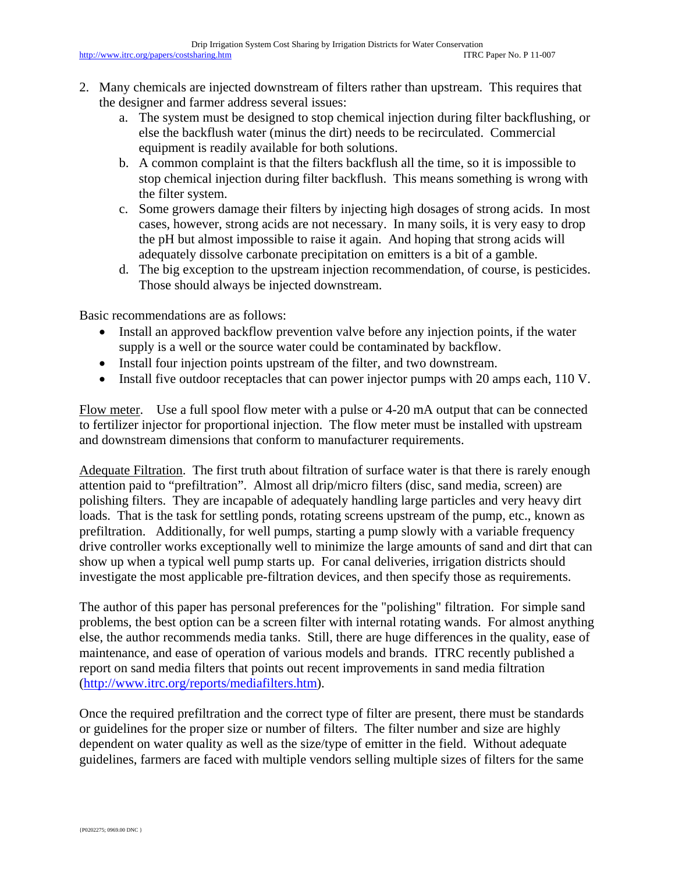- 2. Many chemicals are injected downstream of filters rather than upstream. This requires that the designer and farmer address several issues:
	- a. The system must be designed to stop chemical injection during filter backflushing, or else the backflush water (minus the dirt) needs to be recirculated. Commercial equipment is readily available for both solutions.
	- b. A common complaint is that the filters backflush all the time, so it is impossible to stop chemical injection during filter backflush. This means something is wrong with the filter system.
	- c. Some growers damage their filters by injecting high dosages of strong acids. In most cases, however, strong acids are not necessary. In many soils, it is very easy to drop the pH but almost impossible to raise it again. And hoping that strong acids will adequately dissolve carbonate precipitation on emitters is a bit of a gamble.
	- d. The big exception to the upstream injection recommendation, of course, is pesticides. Those should always be injected downstream.

Basic recommendations are as follows:

- Install an approved backflow prevention valve before any injection points, if the water supply is a well or the source water could be contaminated by backflow.
- Install four injection points upstream of the filter, and two downstream.
- Install five outdoor receptacles that can power injector pumps with 20 amps each, 110 V.

Flow meter. Use a full spool flow meter with a pulse or 4-20 mA output that can be connected to fertilizer injector for proportional injection. The flow meter must be installed with upstream and downstream dimensions that conform to manufacturer requirements.

Adequate Filtration. The first truth about filtration of surface water is that there is rarely enough attention paid to "prefiltration". Almost all drip/micro filters (disc, sand media, screen) are polishing filters. They are incapable of adequately handling large particles and very heavy dirt loads. That is the task for settling ponds, rotating screens upstream of the pump, etc., known as prefiltration. Additionally, for well pumps, starting a pump slowly with a variable frequency drive controller works exceptionally well to minimize the large amounts of sand and dirt that can show up when a typical well pump starts up. For canal deliveries, irrigation districts should investigate the most applicable pre-filtration devices, and then specify those as requirements.

The author of this paper has personal preferences for the "polishing" filtration. For simple sand problems, the best option can be a screen filter with internal rotating wands. For almost anything else, the author recommends media tanks. Still, there are huge differences in the quality, ease of maintenance, and ease of operation of various models and brands. ITRC recently published a report on sand media filters that points out recent improvements in sand media filtration (http://www.itrc.org/reports/mediafilters.htm).

Once the required prefiltration and the correct type of filter are present, there must be standards or guidelines for the proper size or number of filters. The filter number and size are highly dependent on water quality as well as the size/type of emitter in the field. Without adequate guidelines, farmers are faced with multiple vendors selling multiple sizes of filters for the same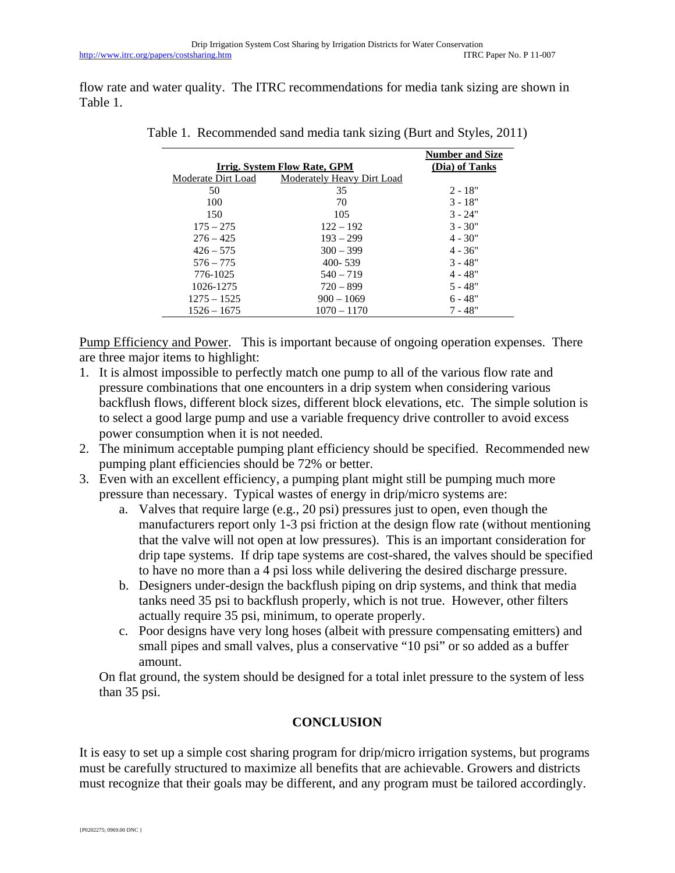flow rate and water quality. The ITRC recommendations for media tank sizing are shown in Table 1.

|                              |                            | <b>Number and Size</b> |
|------------------------------|----------------------------|------------------------|
| Irrig. System Flow Rate, GPM |                            | (Dia) of Tanks         |
| Moderate Dirt Load           | Moderately Heavy Dirt Load |                        |
| 50                           | 35                         | $2 - 18"$              |
| 100                          | 70                         | $3 - 18"$              |
| 150                          | 105                        | $3 - 24"$              |
| $175 - 275$                  | $122 - 192$                | $3 - 30"$              |
| $276 - 425$                  | $193 - 299$                | $4 - 30"$              |
| $426 - 575$                  | $300 - 399$                | $4 - 36"$              |
| $576 - 775$                  | 400-539                    | $3 - 48"$              |
| 776-1025                     | $540 - 719$                | $4 - 48"$              |
| 1026-1275                    | $720 - 899$                | $5 - 48"$              |
| $1275 - 1525$                | $900 - 1069$               | $6 - 48"$              |
| $1526 - 1675$                | $1070 - 1170$              | $7 - 48"$              |

Table 1. Recommended sand media tank sizing (Burt and Styles, 2011)

Pump Efficiency and Power. This is important because of ongoing operation expenses. There are three major items to highlight:

- 1. It is almost impossible to perfectly match one pump to all of the various flow rate and pressure combinations that one encounters in a drip system when considering various backflush flows, different block sizes, different block elevations, etc. The simple solution is to select a good large pump and use a variable frequency drive controller to avoid excess power consumption when it is not needed.
- 2. The minimum acceptable pumping plant efficiency should be specified. Recommended new pumping plant efficiencies should be 72% or better.
- 3. Even with an excellent efficiency, a pumping plant might still be pumping much more pressure than necessary. Typical wastes of energy in drip/micro systems are:
	- a. Valves that require large (e.g., 20 psi) pressures just to open, even though the manufacturers report only 1-3 psi friction at the design flow rate (without mentioning that the valve will not open at low pressures). This is an important consideration for drip tape systems. If drip tape systems are cost-shared, the valves should be specified to have no more than a 4 psi loss while delivering the desired discharge pressure.
	- b. Designers under-design the backflush piping on drip systems, and think that media tanks need 35 psi to backflush properly, which is not true. However, other filters actually require 35 psi, minimum, to operate properly.
	- c. Poor designs have very long hoses (albeit with pressure compensating emitters) and small pipes and small valves, plus a conservative "10 psi" or so added as a buffer amount.

On flat ground, the system should be designed for a total inlet pressure to the system of less than 35 psi.

# **CONCLUSION**

It is easy to set up a simple cost sharing program for drip/micro irrigation systems, but programs must be carefully structured to maximize all benefits that are achievable. Growers and districts must recognize that their goals may be different, and any program must be tailored accordingly.